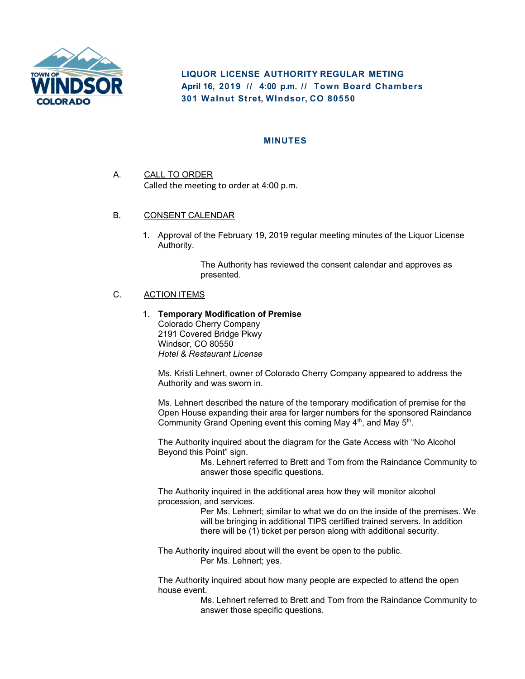

**LIQUOR LICENSE AUTHORITY REGULAR METING** April 16, 2019 // 4:00 p.m. // Town Board Chambers **301 Walnut Stret, WIndsor, CO 80550** 

## **MINUTES**

- A. CALL TO ORDER Called the meeting to order at 4:00 p.m.
- B. CONSENT CALENDAR
	- 1. Approval of the February 19, 2019 regular meeting minutes of the Liquor License Authority.

The Authority has reviewed the consent calendar and approves as presented.

## C. ACTION ITEMS

1. **Temporary Modification of Premise**  Colorado Cherry Company 2191 Covered Bridge Pkwy Windsor, CO 80550 *Hotel & Restaurant License* 

Ms. Kristi Lehnert, owner of Colorado Cherry Company appeared to address the Authority and was sworn in.

Ms. Lehnert described the nature of the temporary modification of premise for the Open House expanding their area for larger numbers for the sponsored Raindance Community Grand Opening event this coming May  $4<sup>th</sup>$ , and May  $5<sup>th</sup>$ .

The Authority inquired about the diagram for the Gate Access with "No Alcohol Beyond this Point" sign.

Ms. Lehnert referred to Brett and Tom from the Raindance Community to answer those specific questions.

The Authority inquired in the additional area how they will monitor alcohol procession, and services.

> Per Ms. Lehnert; similar to what we do on the inside of the premises. We will be bringing in additional TIPS certified trained servers. In addition there will be (1) ticket per person along with additional security.

The Authority inquired about will the event be open to the public. Per Ms. Lehnert; yes.

The Authority inquired about how many people are expected to attend the open house event.

> Ms. Lehnert referred to Brett and Tom from the Raindance Community to answer those specific questions.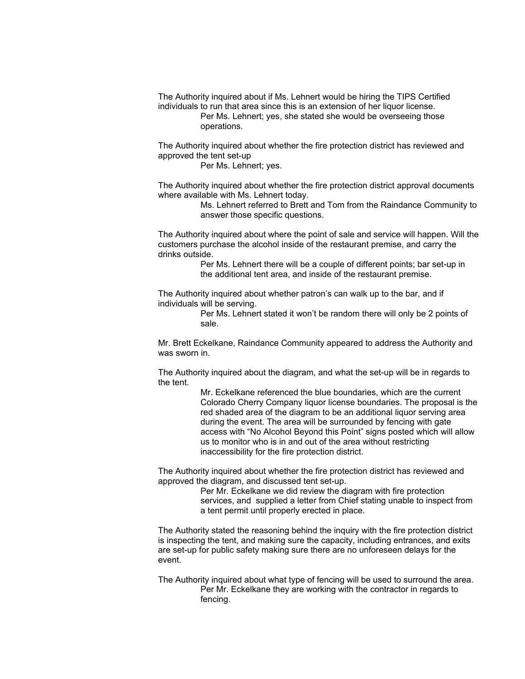The Authority inquired about if Ms. Lehnert would be hiring the TIPS Certified individuals to run that area since this is an extension of her liquor license.

Per Ms. Lehnert; yes, she stated she would be overseeing those operations.

The Authority inquired about whether the fire protection district has reviewed and approved the tent set-up

Per Ms. Lehnert; yes.

The Authority inquired about whether the fire protection district approval documents where available with Ms. Lehnert today.

> Ms. Lehnert referred to Brett and Tom from the Raindance Community to answer those specific questions.

The Authority inquired about where the point of sale and service will happen. Will the customers purchase the alcohol inside of the restaurant premise, and carry the drinks outside.

> Per Ms. Lehnert there will be a couple of different points; bar set-up in the additional tent area, and inside of the restaurant premise.

The Authority inquired about whether patron's can walk up to the bar, and if individuals will be serving.

> Per Ms. Lehnert stated it won't be random there will only be 2 points of sale.

Mr. Brett Eckelkane, Raindance Community appeared to address the Authority and was sworn in.

The Authority inquired about the diagram, and what the set-up will be in regards to the tent.

> Mr. Eckelkane referenced the blue boundaries, which are the current Colorado Cherry Company liquor license boundaries. The proposal is the red shaded area of the diagram to be an additional liquor serving area during the event. The area will be surrounded by fencing with gate access with "No Alcohol Beyond this Point" signs posted which will allow us to monitor who is in and out of the area without restricting inaccessibility for the fire protection district.

The Authority inquired about whether the fire protection district has reviewed and approved the diagram, and discussed tent set-up.

Per Mr. Eckelkane we did review the diagram with fire protection services, and supplied a letter from Chief stating unable to inspect from a tent permit until properly erected in place.

The Authority stated the reasoning behind the inquiry with the fire protection district is inspecting the tent, and making sure the capacity, including entrances, and exits are set-up for public safety making sure there are no unforeseen delays for the event.

The Authority inquired about what type of fencing will be used to surround the area. Per Mr. Eckelkane they are working with the contractor in regards to fencing.